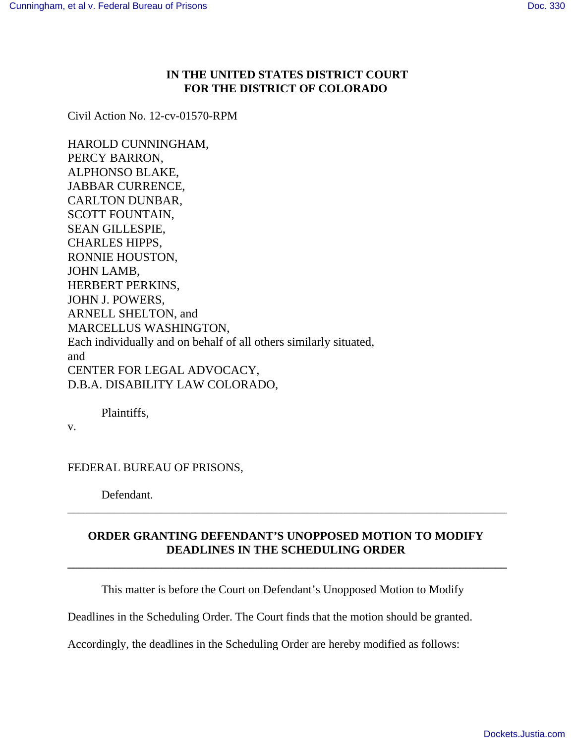## **IN THE UNITED STATES DISTRICT COURT FOR THE DISTRICT OF COLORADO**

Civil Action No. 12-cv-01570-RPM

HAROLD CUNNINGHAM, PERCY BARRON, ALPHONSO BLAKE, JABBAR CURRENCE, CARLTON DUNBAR, SCOTT FOUNTAIN, SEAN GILLESPIE, CHARLES HIPPS, RONNIE HOUSTON, JOHN LAMB, HERBERT PERKINS, JOHN J. POWERS, ARNELL SHELTON, and MARCELLUS WASHINGTON, Each individually and on behalf of all others similarly situated, and CENTER FOR LEGAL ADVOCACY, D.B.A. DISABILITY LAW COLORADO,

Plaintiffs,

v.

FEDERAL BUREAU OF PRISONS,

Defendant.

## **ORDER GRANTING DEFENDANT'S UNOPPOSED MOTION TO MODIFY DEADLINES IN THE SCHEDULING ORDER**

**\_\_\_\_\_\_\_\_\_\_\_\_\_\_\_\_\_\_\_\_\_\_\_\_\_\_\_\_\_\_\_\_\_\_\_\_\_\_\_\_\_\_\_\_\_\_\_\_\_\_\_\_\_\_\_\_\_\_\_\_\_\_\_\_\_\_\_\_\_\_\_\_\_\_\_**

\_\_\_\_\_\_\_\_\_\_\_\_\_\_\_\_\_\_\_\_\_\_\_\_\_\_\_\_\_\_\_\_\_\_\_\_\_\_\_\_\_\_\_\_\_\_\_\_\_\_\_\_\_\_\_\_\_\_\_\_\_\_\_\_\_\_\_\_\_\_\_\_\_\_\_

This matter is before the Court on Defendant's Unopposed Motion to Modify

Deadlines in the Scheduling Order. The Court finds that the motion should be granted.

Accordingly, the deadlines in the Scheduling Order are hereby modified as follows: